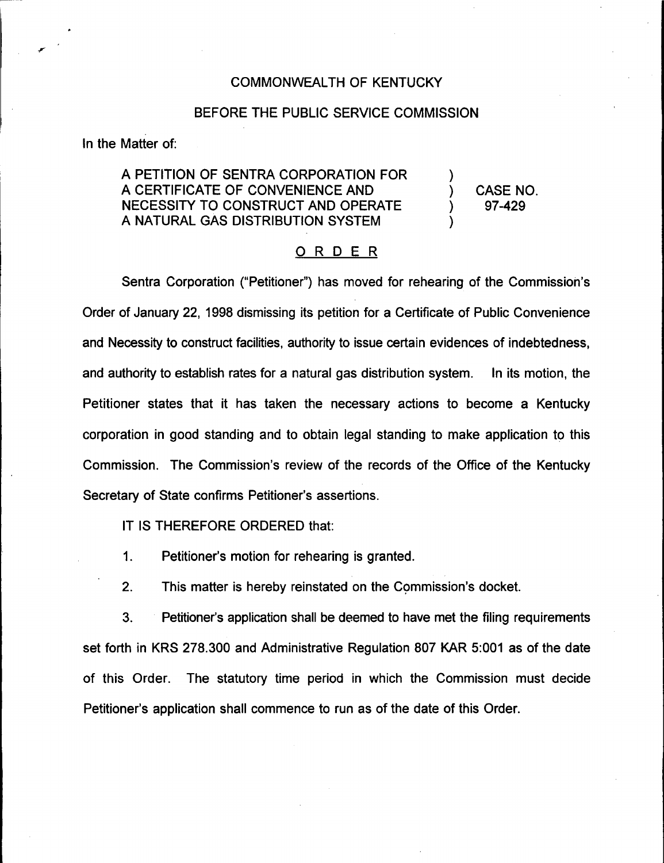## COMMONWEALTH OF KENTUCKY

## BEFORE THE PUBLIC SERVICE COMMISSION

In the Matter of:

## A PETITION OF SENTRA CORPORATION FOR A CERTIFICATE OF CONVENIENCE AND NECESSITY TO CONSTRUCT AND OPERATE A NATURAL GAS DISTRIBUTION SYSTEM

) CASE NO. ) 97-429

)

)

## ORDER

Sentra Corporation ("Petitioner") has moved for rehearing of the Commission's Order of January 22, 1998 dismissing its petition for a Certificate of Public Convenience and Necessity to construct facilities, authority to issue certain evidences of indebtedness, and authority to establish rates for a natural gas distribution system. In its motion, the Petitioner states that it has taken the necessary actions to become a Kentucky corporation in good standing and to obtain legal standing to make application to this Commission. The Commission's review of the records of the Office of the Kentucky Secretary of State confirms Petitioner's assertions.

IT IS THEREFORE ORDERED that:

 $\mathbf 1$ . Petitioner's motion for rehearing is granted.

2. This matter is hereby reinstated on the Commission's docket.

3. Petitioner's application shall be deemed to have met the filing requirements set forth in KRS 278.300 and Administrative Regulation 807 KAR 5:001 as of the date of this Order. The statutory time period in which the Commission must decide Petitioner's application shall commence to run as of the date of this Order.